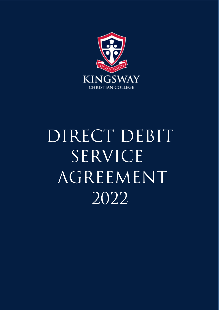

# DIRECT DEBIT SERVICE AGREEMENT 2022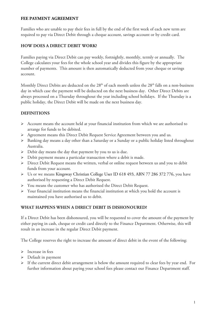#### **FEE PAYMENT AGREEMENT**

Families who are unable to pay their fees in full by the end of the first week of each new term are required to pay via Direct Debit through a cheque account, savings account or by credit card.

# **HOW DOES A DIRECT DEBIT WORK?**

Families paying via Direct Debit can pay weekly, fortnightly, monthly, termly or annually. The College calculates your fees for the whole school year and divides this figure by the appropriate number of payments. This amount is then automatically deducted from your cheque or savings account.

Monthly Direct Debits are deducted on the 28<sup>th</sup> of each month unless the 28<sup>th</sup> falls on a non-business day in which case the payment will be deducted on the next business day. Other Direct Debits are always processed on a Thursday throughout the year including school holidays. If the Thursday is a public holiday, the Direct Debit will be made on the next business day.

# **DEFINITIONS**

- $\triangleright$  Account means the account held at your financial institution from which we are authorised to arrange for funds to be debited.
- Agreement means this Direct Debit Request Service Agreement between you and us.
- Banking day means a day other than a Saturday or a Sunday or a public holiday listed throughout Australia.
- Debit day means the day that payment by you to us is due.
- $\triangleright$  Debit payment means a particular transaction where a debit is made.
- Direct Debit Request means the written, verbal or online request between us and you to debit funds from your account.
- Us or we means Kingsway Christian College User ID 618 493, ABN 77 286 372 776, you have authorised by requesting a Direct Debit Request.
- You means the customer who has authorised the Direct Debit Request.
- $\triangleright$  Your financial institution means the financial institution at which you hold the account is maintained you have authorised us to debit.

## **WHAT HAPPENS WHEN A DIRECT DEBIT IS DISHONOURED?**

If a Direct Debit has been dishonoured, you will be requested to cover the amount of the payment by either paying in cash, cheque or credit card directly to the Finance Department. Otherwise, this will result in an increase in the regular Direct Debit payment.

The College reserves the right to increase the amount of direct debit in the event of the following:

- > Increase in fees
- > Default in payment
- $\triangleright$  If the current direct debit arrangement is below the amount required to clear fees by year end. For further information about paying your school fees please contact our Finance Department staff.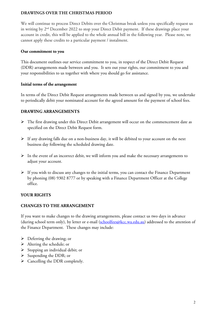## **DRAWINGS OVER THE CHRISTMAS PERIOD**

We will continue to process Direct Debits over the Christmas break unless you specifically request us in writing by 2<sup>nd</sup> December 2022 to stop your Direct Debit payment. If these drawings place your account in credit, this will be applied to the whole annual bill in the following year. Please note, we cannot apply these credits to a particular payment / instalment.

#### **Our commitment to you**

This document outlines our service commitment to you, in respect of the Direct Debit Request (DDR) arrangements made between and you. It sets out your rights, our commitment to you and your responsibilities to us together with where you should go for assistance.

#### **Initial terms of the arrangement**

In terms of the Direct Debit Request arrangements made between us and signed by you, we undertake to periodically debit your nominated account for the agreed amount for the payment of school fees.

## **DRAWING ARRANGEMENTS**

- $\triangleright$  The first drawing under this Direct Debit arrangement will occur on the commencement date as specified on the Direct Debit Request form.
- $\triangleright$  If any drawing falls due on a non-business day, it will be debited to your account on the next business day following the scheduled drawing date.
- $\triangleright$  In the event of an incorrect debit, we will inform you and make the necessary arrangements to adjust your account.
- $\triangleright$  If you wish to discuss any changes to the initial terms, you can contact the Finance Department by phoning (08) 9302 8777 or by speaking with a Finance Department Officer at the College office.

# **YOUR RIGHTS**

## **CHANGES TO THE ARRANGEMENT**

If you want to make changes to the drawing arrangements, please contact us two days in advance (during school term only), by letter or e-mail [\(schoolfees@kcc.wa.edu.au\)](mailto:schoolfees@kcc.wa.edu.au) addressed to the attention of the Finance Department. These changes may include:

- $\triangleright$  Deferring the drawing; or
- > Altering the schedule; or
- $\triangleright$  Stopping an individual debit; or
- $\triangleright$  Suspending the DDR; or
- $\triangleright$  Cancelling the DDR completely.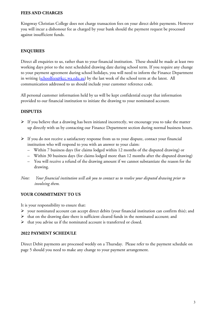#### **FEES AND CHARGES**

Kingsway Christian College does not charge transaction fees on your direct debit payments. However you will incur a dishonour fee as charged by your bank should the payment request be processed against insufficient funds.

# **ENQUIRIES**

Direct all enquiries to us, rather than to your financial institution. These should be made at least two working days prior to the next scheduled drawing date during school term. If you require any change to your payment agreement during school holidays, you will need to inform the Finance Department in writing  $(schoolfees@kcc.wa.edu.au)$  by the last week of the school term at the latest. All communication addressed to us should include your customer reference code.

All personal customer information held by us will be kept confidential except that information provided to our financial institution to initiate the drawing to your nominated account.

## **DISPUTES**

- $\triangleright$  If you believe that a drawing has been initiated incorrectly, we encourage you to take the matter up directly with us by contacting our Finance Department section during normal business hours.
- If you do not receive a satisfactory response from us to your dispute, contact your financial institution who will respond to you with an answer to your claim:
	- Within 7 business days (for claims lodged within 12 months of the disputed drawing) or
	- Within 30 business days (for claims lodged more than 12 months after the disputed drawing)
	- You will receive a refund of the drawing amount if we cannot substantiate the reason for the drawing.
- *Note: Your financial institution will ask you to contact us to resolve your disputed drawing prior to involving them.*

## **YOUR COMMITMENT TO US**

It is your responsibility to ensure that:

- $\triangleright$  your nominated account can accept direct debits (your financial institution can confirm this); and
- $\triangleright$  that on the drawing date there is sufficient cleared funds in the nominated account; and
- $\blacktriangleright$  that you advise us if the nominated account is transferred or closed.

#### **2022 PAYMENT SCHEDULE**

Direct Debit payments are processed weekly on a Thursday. Please refer to the payment schedule on page 5 should you need to make any change to your payment arrangement.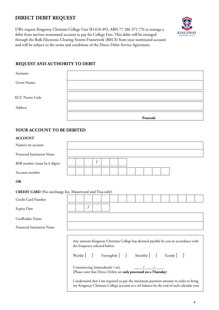# **DIRECT DEBIT REQUEST**

I/We request Kingsway Christian College User ID 618 493, ABN 77 286 372 776 to arrange a debit from my/our nominated account to pay for College Fees. This debit will be arranged through the Bulk Electronic Clearing System Framework (BECS) from your nominated account and will be subject to the terms and conditions of the Direct Debit Service Agreement.



#### **REQUEST AND AUTHORITY TO DEBIT**

| Surname                |          |
|------------------------|----------|
| Given Names            |          |
| <b>KCC Parent Code</b> |          |
| Address                |          |
|                        | Postcode |

#### **YOUR ACCOUNT TO BE DEBITED**

#### **ACCOUNT**

| Name/s on account             |  |  |  |  |  |  |  |  |
|-------------------------------|--|--|--|--|--|--|--|--|
| Financial Institution Name    |  |  |  |  |  |  |  |  |
| BSB number (must be 6 digits) |  |  |  |  |  |  |  |  |
| Account number                |  |  |  |  |  |  |  |  |

**OR**

#### **CREDIT CARD** (No surcharge fee, Mastercard and Visa only)

| Credit Card Number                |  |                                                                |  |  |                                                                                                                        |  |  |                                                                                                                                                                                                                                                                       |  |
|-----------------------------------|--|----------------------------------------------------------------|--|--|------------------------------------------------------------------------------------------------------------------------|--|--|-----------------------------------------------------------------------------------------------------------------------------------------------------------------------------------------------------------------------------------------------------------------------|--|
| <b>Expiry Date</b>                |  |                                                                |  |  |                                                                                                                        |  |  |                                                                                                                                                                                                                                                                       |  |
| Cardholder Name                   |  |                                                                |  |  |                                                                                                                        |  |  |                                                                                                                                                                                                                                                                       |  |
| <b>Financial Institution Name</b> |  |                                                                |  |  |                                                                                                                        |  |  |                                                                                                                                                                                                                                                                       |  |
|                                   |  | the frequency selected below:<br>Commencing [immediately / on] |  |  | Weekly [ ] Fortnightly [ ] Monthly [ ] Termly [ ]<br>(Please note that Direct Debits are only processed on a Thursday) |  |  | Any amount Kingsway Christian College has deemed payable by you in accordance with<br>I understand that I am required to pay the minimum payment amount in order to bring<br>my Kingsway Christian College account to a nil balance by the end of each calendar year. |  |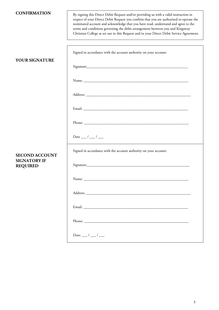| <b>CONFIRMATION</b>                          | By signing this Direct Debit Request and/or providing us with a valid instruction in<br>respect of your Direct Debit Request you confirm that you are authorised to operate the<br>nominated account and acknowledge that you have read, understand and agree to the<br>terms and conditions governing the debit arrangement between you and Kingsway<br>Christian College as set out in this Request and in your Direct Debit Service Agreement. |
|----------------------------------------------|---------------------------------------------------------------------------------------------------------------------------------------------------------------------------------------------------------------------------------------------------------------------------------------------------------------------------------------------------------------------------------------------------------------------------------------------------|
| <b>YOUR SIGNATURE</b>                        | Signed in accordance with the account authority on your account:                                                                                                                                                                                                                                                                                                                                                                                  |
|                                              |                                                                                                                                                                                                                                                                                                                                                                                                                                                   |
|                                              |                                                                                                                                                                                                                                                                                                                                                                                                                                                   |
|                                              |                                                                                                                                                                                                                                                                                                                                                                                                                                                   |
|                                              |                                                                                                                                                                                                                                                                                                                                                                                                                                                   |
|                                              | Date $_{--}/_{--}/_{--}$                                                                                                                                                                                                                                                                                                                                                                                                                          |
| <b>SECOND ACCOUNT</b><br><b>SIGNATORY IF</b> | Signed in accordance with the account authority on your account:                                                                                                                                                                                                                                                                                                                                                                                  |
| <b>REQUIRED</b>                              |                                                                                                                                                                                                                                                                                                                                                                                                                                                   |
|                                              |                                                                                                                                                                                                                                                                                                                                                                                                                                                   |
|                                              |                                                                                                                                                                                                                                                                                                                                                                                                                                                   |
|                                              |                                                                                                                                                                                                                                                                                                                                                                                                                                                   |
|                                              | Date: $\frac{1}{\sqrt{2}}$                                                                                                                                                                                                                                                                                                                                                                                                                        |